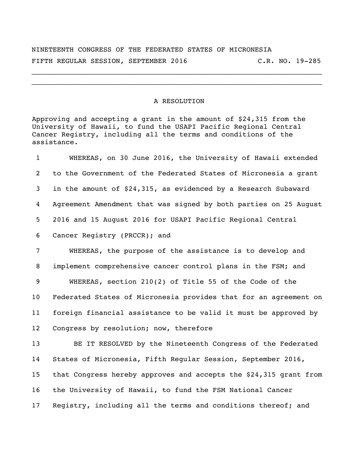NINETEENTH CONGRESS OF THE FEDERATED STATES OF MICRONESIA FIFTH REGULAR SESSION, SEPTEMBER 2016 C.R. NO. 19-285

\_\_\_\_\_\_\_\_\_\_\_\_\_\_\_\_\_\_\_\_\_\_\_\_\_\_\_\_\_\_\_\_\_\_\_\_\_\_\_\_\_\_\_\_\_\_\_\_\_\_\_\_\_\_\_\_\_\_\_\_\_\_\_\_\_\_\_\_\_ \_\_\_\_\_\_\_\_\_\_\_\_\_\_\_\_\_\_\_\_\_\_\_\_\_\_\_\_\_\_\_\_\_\_\_\_\_\_\_\_\_\_\_\_\_\_\_\_\_\_\_\_\_\_\_\_\_\_\_\_\_\_\_\_\_\_\_\_\_

## A RESOLUTION

Approving and accepting a grant in the amount of \$24,315 from the University of Hawaii, to fund the USAPI Pacific Regional Central Cancer Registry, including all the terms and conditions of the assistance.

 WHEREAS, on 30 June 2016, the University of Hawaii extended to the Government of the Federated States of Micronesia a grant in the amount of \$24,315, as evidenced by a Research Subaward Agreement Amendment that was signed by both parties on 25 August 2016 and 15 August 2016 for USAPI Pacific Regional Central Cancer Registry (PRCCR); and

 WHEREAS, the purpose of the assistance is to develop and implement comprehensive cancer control plans in the FSM; and WHEREAS, section 210(2) of Title 55 of the Code of the Federated States of Micronesia provides that for an agreement on foreign financial assistance to be valid it must be approved by Congress by resolution; now, therefore

 BE IT RESOLVED by the Nineteenth Congress of the Federated States of Micronesia, Fifth Regular Session, September 2016, that Congress hereby approves and accepts the \$24,315 grant from the University of Hawaii, to fund the FSM National Cancer Registry, including all the terms and conditions thereof; and